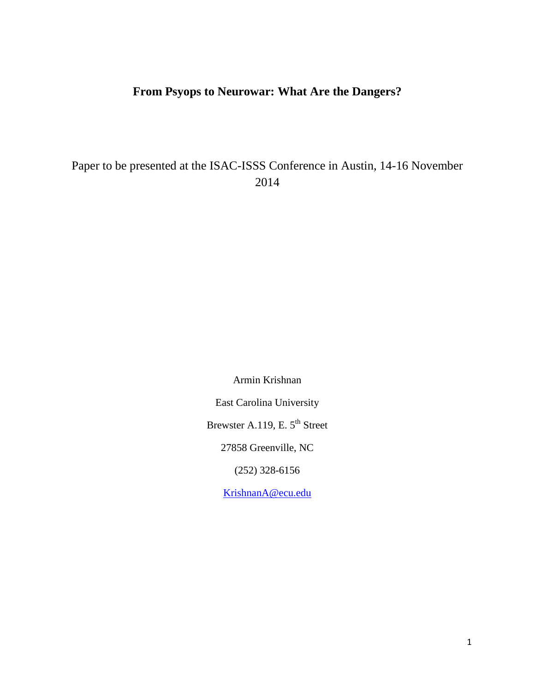# **From Psyops to Neurowar: What Are the Dangers?**

Paper to be presented at the ISAC-ISSS Conference in Austin, 14-16 November 2014

> Armin Krishnan East Carolina University Brewster A.119, E. 5<sup>th</sup> Street

> > 27858 Greenville, NC

(252) 328-6156

[KrishnanA@ecu.edu](mailto:KrishnanA@ecu.edu)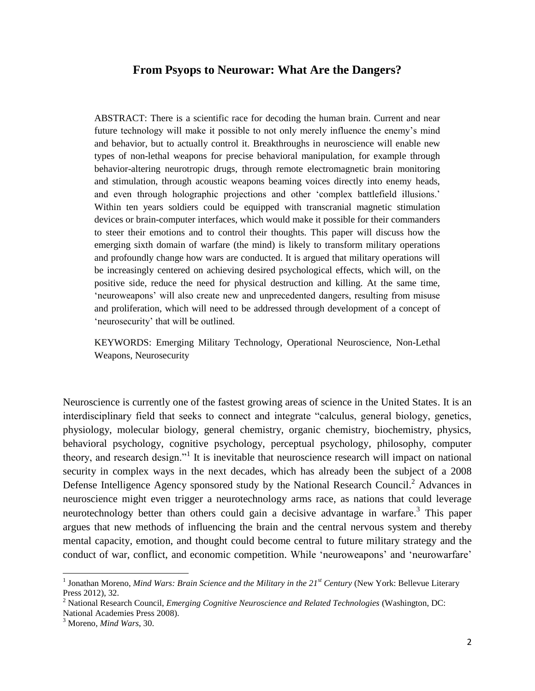## **From Psyops to Neurowar: What Are the Dangers?**

ABSTRACT: There is a scientific race for decoding the human brain. Current and near future technology will make it possible to not only merely influence the enemy's mind and behavior, but to actually control it. Breakthroughs in neuroscience will enable new types of non-lethal weapons for precise behavioral manipulation, for example through behavior-altering neurotropic drugs, through remote electromagnetic brain monitoring and stimulation, through acoustic weapons beaming voices directly into enemy heads, and even through holographic projections and other 'complex battlefield illusions.' Within ten years soldiers could be equipped with transcranial magnetic stimulation devices or brain-computer interfaces, which would make it possible for their commanders to steer their emotions and to control their thoughts. This paper will discuss how the emerging sixth domain of warfare (the mind) is likely to transform military operations and profoundly change how wars are conducted. It is argued that military operations will be increasingly centered on achieving desired psychological effects, which will, on the positive side, reduce the need for physical destruction and killing. At the same time, 'neuroweapons' will also create new and unprecedented dangers, resulting from misuse and proliferation, which will need to be addressed through development of a concept of 'neurosecurity' that will be outlined.

KEYWORDS: Emerging Military Technology, Operational Neuroscience, Non-Lethal Weapons, Neurosecurity

Neuroscience is currently one of the fastest growing areas of science in the United States. It is an interdisciplinary field that seeks to connect and integrate "calculus, general biology, genetics, physiology, molecular biology, general chemistry, organic chemistry, biochemistry, physics, behavioral psychology, cognitive psychology, perceptual psychology, philosophy, computer theory, and research design."<sup>1</sup> It is inevitable that neuroscience research will impact on national security in complex ways in the next decades, which has already been the subject of a 2008 Defense Intelligence Agency sponsored study by the National Research Council.<sup>2</sup> Advances in neuroscience might even trigger a neurotechnology arms race, as nations that could leverage neurotechnology better than others could gain a decisive advantage in warfare.<sup>3</sup> This paper argues that new methods of influencing the brain and the central nervous system and thereby mental capacity, emotion, and thought could become central to future military strategy and the conduct of war, conflict, and economic competition. While 'neuroweapons' and 'neurowarfare'

<sup>&</sup>lt;sup>1</sup> Jonathan Moreno, *Mind Wars: Brain Science and the Military in the 21<sup>st</sup> Century* (New York: Bellevue Literary Press 2012), 32.

<sup>2</sup> National Research Council, *Emerging Cognitive Neuroscience and Related Technologies* (Washington, DC: National Academies Press 2008).

<sup>3</sup> Moreno, *Mind Wars*, 30.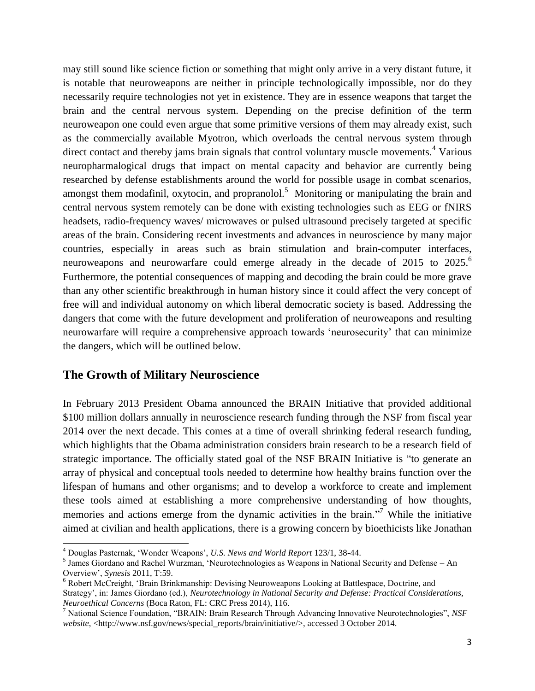may still sound like science fiction or something that might only arrive in a very distant future, it is notable that neuroweapons are neither in principle technologically impossible, nor do they necessarily require technologies not yet in existence. They are in essence weapons that target the brain and the central nervous system. Depending on the precise definition of the term neuroweapon one could even argue that some primitive versions of them may already exist, such as the commercially available Myotron, which overloads the central nervous system through direct contact and thereby jams brain signals that control voluntary muscle movements.<sup>4</sup> Various neuropharmalogical drugs that impact on mental capacity and behavior are currently being researched by defense establishments around the world for possible usage in combat scenarios, amongst them modafinil, oxytocin, and propranolol.<sup>5</sup> Monitoring or manipulating the brain and central nervous system remotely can be done with existing technologies such as EEG or fNIRS headsets, radio-frequency waves/ microwaves or pulsed ultrasound precisely targeted at specific areas of the brain. Considering recent investments and advances in neuroscience by many major countries, especially in areas such as brain stimulation and brain-computer interfaces, neuroweapons and neurowarfare could emerge already in the decade of 2015 to 2025.<sup>6</sup> Furthermore, the potential consequences of mapping and decoding the brain could be more grave than any other scientific breakthrough in human history since it could affect the very concept of free will and individual autonomy on which liberal democratic society is based. Addressing the dangers that come with the future development and proliferation of neuroweapons and resulting neurowarfare will require a comprehensive approach towards 'neurosecurity' that can minimize the dangers, which will be outlined below.

## **The Growth of Military Neuroscience**

 $\overline{a}$ 

In February 2013 President Obama announced the BRAIN Initiative that provided additional \$100 million dollars annually in neuroscience research funding through the NSF from fiscal year 2014 over the next decade. This comes at a time of overall shrinking federal research funding, which highlights that the Obama administration considers brain research to be a research field of strategic importance. The officially stated goal of the NSF BRAIN Initiative is "to generate an array of physical and conceptual tools needed to determine how healthy brains function over the lifespan of humans and other organisms; and to develop a workforce to create and implement these tools aimed at establishing a more comprehensive understanding of how thoughts, memories and actions emerge from the dynamic activities in the brain."<sup>7</sup> While the initiative aimed at civilian and health applications, there is a growing concern by bioethicists like Jonathan

<sup>4</sup> Douglas Pasternak, 'Wonder Weapons', *U.S. News and World Report* 123/1, 38-44.

<sup>&</sup>lt;sup>5</sup> James Giordano and Rachel Wurzman, 'Neurotechnologies as Weapons in National Security and Defense – An Overview', *Synesis* 2011, T:59.

<sup>6</sup> Robert McCreight, 'Brain Brinkmanship: Devising Neuroweapons Looking at Battlespace, Doctrine, and Strategy', in: James Giordano (ed.), *Neurotechnology in National Security and Defense: Practical Considerations, Neuroethical Concerns* (Boca Raton, FL: CRC Press 2014), 116.

<sup>7</sup> National Science Foundation, "BRAIN: Brain Research Through Advancing Innovative Neurotechnologies", *NSF website*, <http://www.nsf.gov/news/special\_reports/brain/initiative/>, accessed 3 October 2014.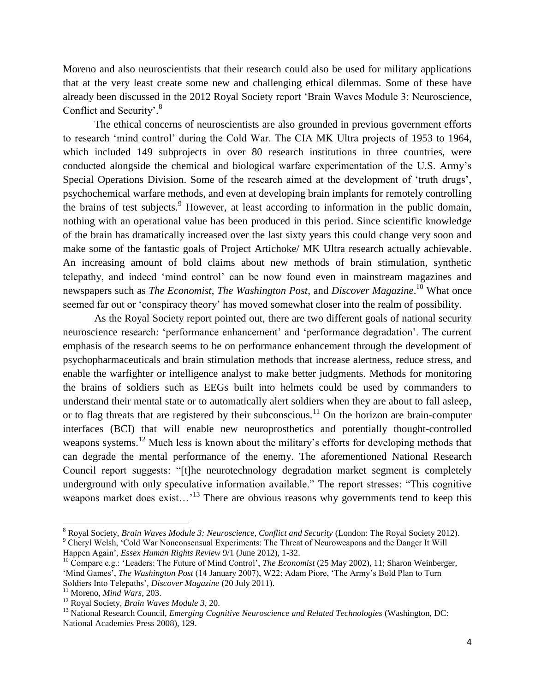Moreno and also neuroscientists that their research could also be used for military applications that at the very least create some new and challenging ethical dilemmas. Some of these have already been discussed in the 2012 Royal Society report 'Brain Waves Module 3: Neuroscience, Conflict and Security'.<sup>8</sup>

The ethical concerns of neuroscientists are also grounded in previous government efforts to research 'mind control' during the Cold War. The CIA MK Ultra projects of 1953 to 1964, which included 149 subprojects in over 80 research institutions in three countries, were conducted alongside the chemical and biological warfare experimentation of the U.S. Army's Special Operations Division. Some of the research aimed at the development of 'truth drugs', psychochemical warfare methods, and even at developing brain implants for remotely controlling the brains of test subjects. $9$  However, at least according to information in the public domain, nothing with an operational value has been produced in this period. Since scientific knowledge of the brain has dramatically increased over the last sixty years this could change very soon and make some of the fantastic goals of Project Artichoke/ MK Ultra research actually achievable. An increasing amount of bold claims about new methods of brain stimulation, synthetic telepathy, and indeed 'mind control' can be now found even in mainstream magazines and newspapers such as *The Economist*, *The Washington Post*, and *Discover Magazine*. <sup>10</sup> What once seemed far out or 'conspiracy theory' has moved somewhat closer into the realm of possibility.

As the Royal Society report pointed out, there are two different goals of national security neuroscience research: 'performance enhancement' and 'performance degradation'. The current emphasis of the research seems to be on performance enhancement through the development of psychopharmaceuticals and brain stimulation methods that increase alertness, reduce stress, and enable the warfighter or intelligence analyst to make better judgments. Methods for monitoring the brains of soldiers such as EEGs built into helmets could be used by commanders to understand their mental state or to automatically alert soldiers when they are about to fall asleep, or to flag threats that are registered by their subconscious.<sup>11</sup> On the horizon are brain-computer interfaces (BCI) that will enable new neuroprosthetics and potentially thought-controlled weapons systems.<sup>12</sup> Much less is known about the military's efforts for developing methods that can degrade the mental performance of the enemy. The aforementioned National Research Council report suggests: "[t]he neurotechnology degradation market segment is completely underground with only speculative information available." The report stresses: "This cognitive weapons market does exist...<sup>13</sup> There are obvious reasons why governments tend to keep this

<sup>8</sup> Royal Society, *Brain Waves Module 3: Neuroscience, Conflict and Security* (London: The Royal Society 2012).

<sup>9</sup> Cheryl Welsh, 'Cold War Nonconsensual Experiments: The Threat of Neuroweapons and the Danger It Will Happen Again', *Essex Human Rights Review* 9/1 (June 2012), 1-32.

<sup>&</sup>lt;sup>10</sup> Compare e.g.: 'Leaders: The Future of Mind Control', *The Economist* (25 May 2002), 11; Sharon Weinberger, 'Mind Games', *The Washington Post* (14 January 2007), W22; Adam Piore, 'The Army's Bold Plan to Turn Soldiers Into Telepaths'*, Discover Magazine* (20 July 2011).

<sup>11</sup> Moreno, *Mind Wars*, 203.

<sup>12</sup> Royal Society, *Brain Waves Module 3*, 20.

<sup>13</sup> National Research Council, *Emerging Cognitive Neuroscience and Related Technologies* (Washington, DC: National Academies Press 2008), 129.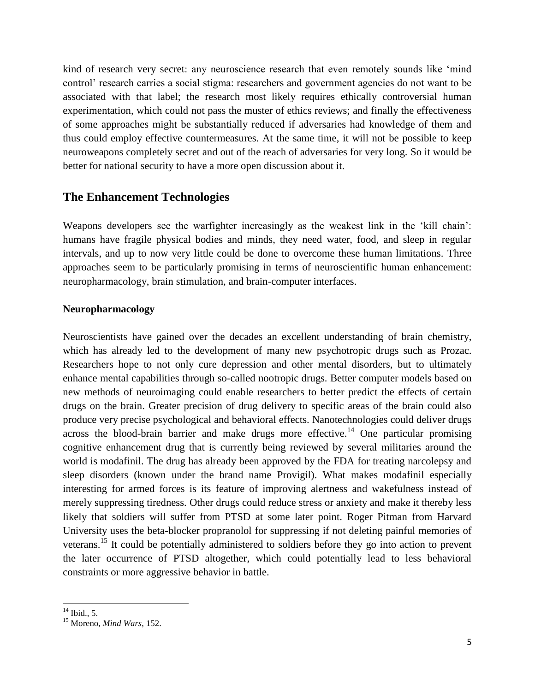kind of research very secret: any neuroscience research that even remotely sounds like 'mind control' research carries a social stigma: researchers and government agencies do not want to be associated with that label; the research most likely requires ethically controversial human experimentation, which could not pass the muster of ethics reviews; and finally the effectiveness of some approaches might be substantially reduced if adversaries had knowledge of them and thus could employ effective countermeasures. At the same time, it will not be possible to keep neuroweapons completely secret and out of the reach of adversaries for very long. So it would be better for national security to have a more open discussion about it.

## **The Enhancement Technologies**

Weapons developers see the warfighter increasingly as the weakest link in the 'kill chain': humans have fragile physical bodies and minds, they need water, food, and sleep in regular intervals, and up to now very little could be done to overcome these human limitations. Three approaches seem to be particularly promising in terms of neuroscientific human enhancement: neuropharmacology, brain stimulation, and brain-computer interfaces.

#### **Neuropharmacology**

Neuroscientists have gained over the decades an excellent understanding of brain chemistry, which has already led to the development of many new psychotropic drugs such as Prozac. Researchers hope to not only cure depression and other mental disorders, but to ultimately enhance mental capabilities through so-called nootropic drugs. Better computer models based on new methods of neuroimaging could enable researchers to better predict the effects of certain drugs on the brain. Greater precision of drug delivery to specific areas of the brain could also produce very precise psychological and behavioral effects. Nanotechnologies could deliver drugs across the blood-brain barrier and make drugs more effective.<sup>14</sup> One particular promising cognitive enhancement drug that is currently being reviewed by several militaries around the world is modafinil. The drug has already been approved by the FDA for treating narcolepsy and sleep disorders (known under the brand name Provigil). What makes modafinil especially interesting for armed forces is its feature of improving alertness and wakefulness instead of merely suppressing tiredness. Other drugs could reduce stress or anxiety and make it thereby less likely that soldiers will suffer from PTSD at some later point. Roger Pitman from Harvard University uses the beta-blocker propranolol for suppressing if not deleting painful memories of veterans.<sup>15</sup> It could be potentially administered to soldiers before they go into action to prevent the later occurrence of PTSD altogether, which could potentially lead to less behavioral constraints or more aggressive behavior in battle.

 $\overline{\phantom{a}}$  $14$  Ibid., 5.

<sup>15</sup> Moreno, *Mind Wars*, 152.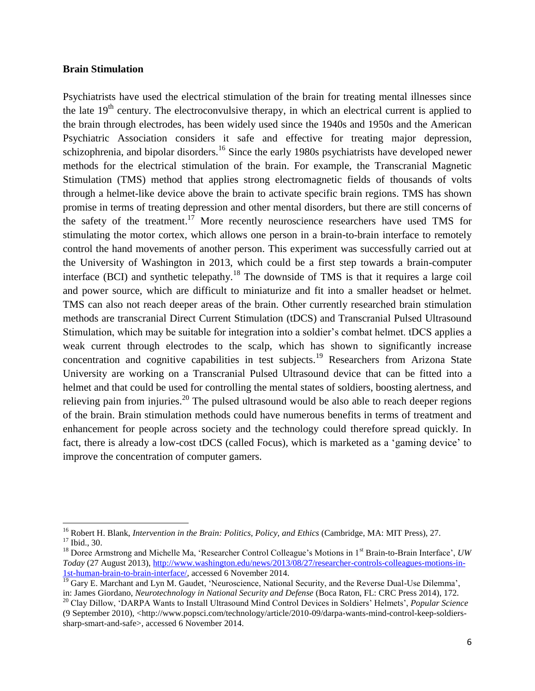#### **Brain Stimulation**

 $\overline{\phantom{a}}$ 

Psychiatrists have used the electrical stimulation of the brain for treating mental illnesses since the late  $19<sup>th</sup>$  century. The electroconvulsive therapy, in which an electrical current is applied to the brain through electrodes, has been widely used since the 1940s and 1950s and the American Psychiatric Association considers it safe and effective for treating major depression, schizophrenia, and bipolar disorders.<sup>16</sup> Since the early 1980s psychiatrists have developed newer methods for the electrical stimulation of the brain. For example, the Transcranial Magnetic Stimulation (TMS) method that applies strong electromagnetic fields of thousands of volts through a helmet-like device above the brain to activate specific brain regions. TMS has shown promise in terms of treating depression and other mental disorders, but there are still concerns of the safety of the treatment.<sup>17</sup> More recently neuroscience researchers have used TMS for stimulating the motor cortex, which allows one person in a brain-to-brain interface to remotely control the hand movements of another person. This experiment was successfully carried out at the University of Washington in 2013, which could be a first step towards a brain-computer interface (BCI) and synthetic telepathy.<sup>18</sup> The downside of TMS is that it requires a large coil and power source, which are difficult to miniaturize and fit into a smaller headset or helmet. TMS can also not reach deeper areas of the brain. Other currently researched brain stimulation methods are transcranial Direct Current Stimulation (tDCS) and Transcranial Pulsed Ultrasound Stimulation, which may be suitable for integration into a soldier's combat helmet. tDCS applies a weak current through electrodes to the scalp, which has shown to significantly increase concentration and cognitive capabilities in test subjects.<sup>19</sup> Researchers from Arizona State University are working on a Transcranial Pulsed Ultrasound device that can be fitted into a helmet and that could be used for controlling the mental states of soldiers, boosting alertness, and relieving pain from injuries.<sup>20</sup> The pulsed ultrasound would be also able to reach deeper regions of the brain. Brain stimulation methods could have numerous benefits in terms of treatment and enhancement for people across society and the technology could therefore spread quickly. In fact, there is already a low-cost tDCS (called Focus), which is marketed as a 'gaming device' to improve the concentration of computer gamers.

<sup>16</sup> Robert H. Blank, *Intervention in the Brain: Politics, Policy, and Ethics* (Cambridge, MA: MIT Press), 27. <sup>17</sup> Ibid., 30.

<sup>&</sup>lt;sup>18</sup> Doree Armstrong and Michelle Ma, 'Researcher Control Colleague's Motions in 1<sup>st</sup> Brain-to-Brain Interface', *UW Today* (27 August 2013), [http://www.washington.edu/news/2013/08/27/researcher-controls-colleagues-motions-in-](http://www.washington.edu/news/2013/08/27/researcher-controls-colleagues-motions-in-1st-human-brain-to-brain-interface/)[1st-human-brain-to-brain-interface/,](http://www.washington.edu/news/2013/08/27/researcher-controls-colleagues-motions-in-1st-human-brain-to-brain-interface/) accessed 6 November 2014.

<sup>&</sup>lt;sup>19</sup> Gary E. Marchant and Lyn M. Gaudet, 'Neuroscience, National Security, and the Reverse Dual-Use Dilemma', in: James Giordano, *Neurotechnology in National Security and Defense* (Boca Raton, FL: CRC Press 2014), 172.

<sup>20</sup> Clay Dillow, 'DARPA Wants to Install Ultrasound Mind Control Devices in Soldiers' Helmets', *Popular Science* (9 September 2010), <http://www.popsci.com/technology/article/2010-09/darpa-wants-mind-control-keep-soldierssharp-smart-and-safe>, accessed 6 November 2014.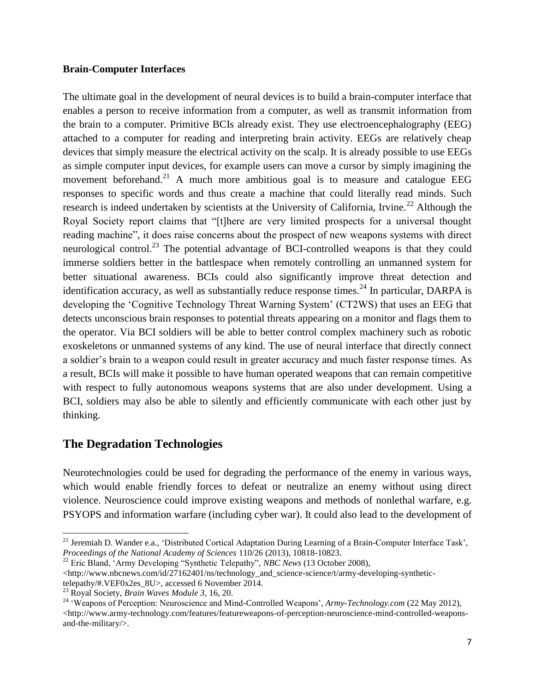### **Brain-Computer Interfaces**

The ultimate goal in the development of neural devices is to build a brain-computer interface that enables a person to receive information from a computer, as well as transmit information from the brain to a computer. Primitive BCIs already exist. They use electroencephalography (EEG) attached to a computer for reading and interpreting brain activity. EEGs are relatively cheap devices that simply measure the electrical activity on the scalp. It is already possible to use EEGs as simple computer input devices, for example users can move a cursor by simply imagining the movement beforehand.<sup>21</sup> A much more ambitious goal is to measure and catalogue EEG responses to specific words and thus create a machine that could literally read minds. Such research is indeed undertaken by scientists at the University of California, Irvine.<sup>22</sup> Although the Royal Society report claims that "[t]here are very limited prospects for a universal thought reading machine", it does raise concerns about the prospect of new weapons systems with direct neurological control.<sup>23</sup> The potential advantage of BCI-controlled weapons is that they could immerse soldiers better in the battlespace when remotely controlling an unmanned system for better situational awareness. BCIs could also significantly improve threat detection and identification accuracy, as well as substantially reduce response times.<sup>24</sup> In particular, DARPA is developing the 'Cognitive Technology Threat Warning System' (CT2WS) that uses an EEG that detects unconscious brain responses to potential threats appearing on a monitor and flags them to the operator. Via BCI soldiers will be able to better control complex machinery such as robotic exoskeletons or unmanned systems of any kind. The use of neural interface that directly connect a soldier's brain to a weapon could result in greater accuracy and much faster response times. As a result, BCIs will make it possible to have human operated weapons that can remain competitive with respect to fully autonomous weapons systems that are also under development. Using a BCI, soldiers may also be able to silently and efficiently communicate with each other just by thinking.

# **The Degradation Technologies**

Neurotechnologies could be used for degrading the performance of the enemy in various ways, which would enable friendly forces to defeat or neutralize an enemy without using direct violence. Neuroscience could improve existing weapons and methods of nonlethal warfare, e.g. PSYOPS and information warfare (including cyber war). It could also lead to the development of

<sup>22</sup> Eric Bland, 'Army Developing "Synthetic Telepathy", *NBC News* (13 October 2008),  $\langle$ http://www.nbcnews.com/id/27162401/ns/technology and science-science/t/army-developing-synthetictelepathy/#.VEF0x2es\_8U>, accessed 6 November 2014.

<sup>&</sup>lt;sup>21</sup> Jeremiah D. Wander e.a., 'Distributed Cortical Adaptation During Learning of a Brain-Computer Interface Task', *Proceedings of the National Academy of Sciences* 110/26 (2013), 10818-10823.

<sup>23</sup> Royal Society, *Brain Waves Module 3*, 16, 20.

<sup>24</sup> 'Weapons of Perception: Neuroscience and Mind-Controlled Weapons', *Army-Technology.com* (22 May 2012),  $\langle$ http://www.army-technology.com/features/featureweapons-of-perception-neuroscience-mind-controlled-weaponsand-the-military/>.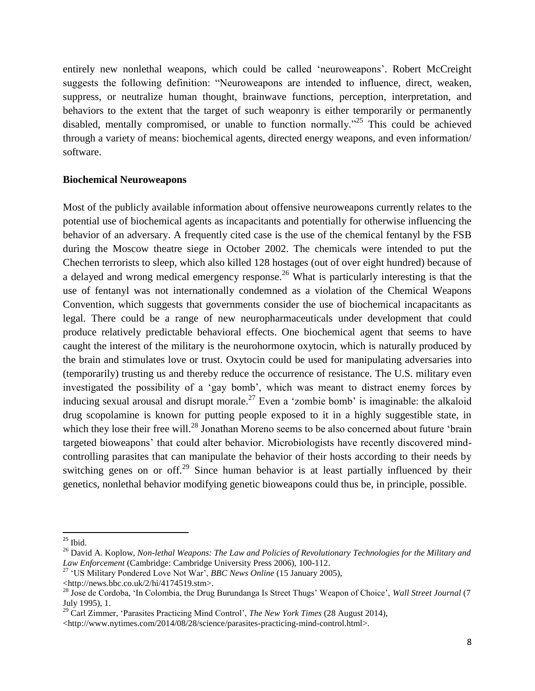entirely new nonlethal weapons, which could be called 'neuroweapons'. Robert McCreight suggests the following definition: "Neuroweapons are intended to influence, direct, weaken, suppress, or neutralize human thought, brainwave functions, perception, interpretation, and behaviors to the extent that the target of such weaponry is either temporarily or permanently disabled, mentally compromised, or unable to function normally."<sup>25</sup> This could be achieved through a variety of means: biochemical agents, directed energy weapons, and even information/ software.

### **Biochemical Neuroweapons**

Most of the publicly available information about offensive neuroweapons currently relates to the potential use of biochemical agents as incapacitants and potentially for otherwise influencing the behavior of an adversary. A frequently cited case is the use of the chemical fentanyl by the FSB during the Moscow theatre siege in October 2002. The chemicals were intended to put the Chechen terrorists to sleep, which also killed 128 hostages (out of over eight hundred) because of a delayed and wrong medical emergency response.<sup>26</sup> What is particularly interesting is that the use of fentanyl was not internationally condemned as a violation of the Chemical Weapons Convention, which suggests that governments consider the use of biochemical incapacitants as legal. There could be a range of new neuropharmaceuticals under development that could produce relatively predictable behavioral effects. One biochemical agent that seems to have caught the interest of the military is the neurohormone oxytocin, which is naturally produced by the brain and stimulates love or trust. Oxytocin could be used for manipulating adversaries into (temporarily) trusting us and thereby reduce the occurrence of resistance. The U.S. military even investigated the possibility of a 'gay bomb', which was meant to distract enemy forces by inducing sexual arousal and disrupt morale.<sup>27</sup> Even a 'zombie bomb' is imaginable: the alkaloid drug scopolamine is known for putting people exposed to it in a highly suggestible state, in which they lose their free will.<sup>28</sup> Jonathan Moreno seems to be also concerned about future 'brain targeted bioweapons' that could alter behavior. Microbiologists have recently discovered mindcontrolling parasites that can manipulate the behavior of their hosts according to their needs by switching genes on or off.<sup>29</sup> Since human behavior is at least partially influenced by their genetics, nonlethal behavior modifying genetic bioweapons could thus be, in principle, possible.

 $25$  Ibid.

<sup>26</sup> David A. Koplow, *Non-lethal Weapons: The Law and Policies of Revolutionary Technologies for the Military and Law Enforcement* (Cambridge: Cambridge University Press 2006), 100-112.

<sup>27</sup> 'US Military Pondered Love Not War', *BBC News Online* (15 January 2005),

 $\langle$ http://news.bbc.co.uk/2/hi/4174519.stm>.

<sup>28</sup> Jose de Cordoba, 'In Colombia, the Drug Burundanga Is Street Thugs' Weapon of Choice', *Wall Street Journal* (7 July 1995), 1.

<sup>29</sup> Carl Zimmer, 'Parasites Practicing Mind Control', *The New York Times* (28 August 2014),

<sup>&</sup>lt;http://www.nytimes.com/2014/08/28/science/parasites-practicing-mind-control.html>.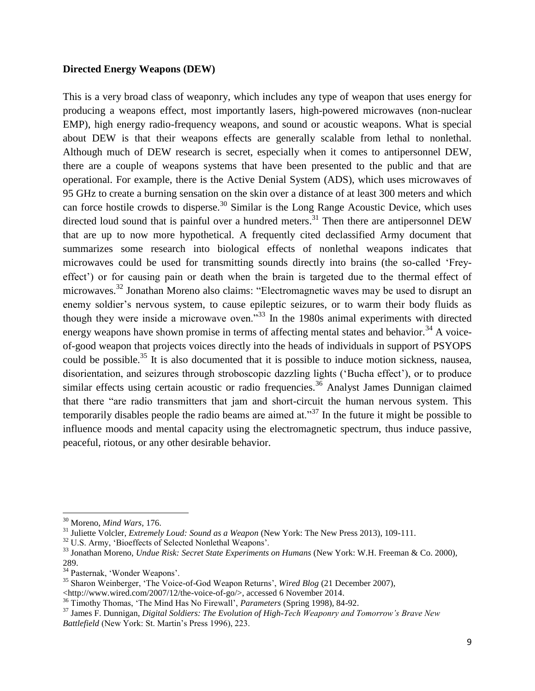#### **Directed Energy Weapons (DEW)**

This is a very broad class of weaponry, which includes any type of weapon that uses energy for producing a weapons effect, most importantly lasers, high-powered microwaves (non-nuclear EMP), high energy radio-frequency weapons, and sound or acoustic weapons. What is special about DEW is that their weapons effects are generally scalable from lethal to nonlethal. Although much of DEW research is secret, especially when it comes to antipersonnel DEW, there are a couple of weapons systems that have been presented to the public and that are operational. For example, there is the Active Denial System (ADS), which uses microwaves of 95 GHz to create a burning sensation on the skin over a distance of at least 300 meters and which can force hostile crowds to disperse.<sup>30</sup> Similar is the Long Range Acoustic Device, which uses directed loud sound that is painful over a hundred meters.<sup>31</sup> Then there are antipersonnel DEW that are up to now more hypothetical. A frequently cited declassified Army document that summarizes some research into biological effects of nonlethal weapons indicates that microwaves could be used for transmitting sounds directly into brains (the so-called 'Freyeffect') or for causing pain or death when the brain is targeted due to the thermal effect of microwaves.<sup>32</sup> Jonathan Moreno also claims: "Electromagnetic waves may be used to disrupt an enemy soldier's nervous system, to cause epileptic seizures, or to warm their body fluids as though they were inside a microwave oven."<sup>33</sup> In the 1980s animal experiments with directed energy weapons have shown promise in terms of affecting mental states and behavior.<sup>34</sup> A voiceof-good weapon that projects voices directly into the heads of individuals in support of PSYOPS could be possible.<sup>35</sup> It is also documented that it is possible to induce motion sickness, nausea, disorientation, and seizures through stroboscopic dazzling lights ('Bucha effect'), or to produce similar effects using certain acoustic or radio frequencies.<sup>36</sup> Analyst James Dunnigan claimed that there "are radio transmitters that jam and short-circuit the human nervous system. This temporarily disables people the radio beams are aimed at."<sup>37</sup> In the future it might be possible to influence moods and mental capacity using the electromagnetic spectrum, thus induce passive, peaceful, riotous, or any other desirable behavior.

<sup>30</sup> Moreno, *Mind Wars*, 176.

<sup>31</sup> Juliette Volcler, *Extremely Loud: Sound as a Weapon* (New York: The New Press 2013), 109-111.

<sup>32</sup> U.S. Army, 'Bioeffects of Selected Nonlethal Weapons'.

<sup>33</sup> Jonathan Moreno, *Undue Risk: Secret State Experiments on Humans* (New York: W.H. Freeman & Co. 2000), 289.

<sup>34</sup> Pasternak, 'Wonder Weapons'.

<sup>35</sup> Sharon Weinberger, 'The Voice-of-God Weapon Returns', *Wired Blog* (21 December 2007),

<sup>&</sup>lt;http://www.wired.com/2007/12/the-voice-of-go/>, accessed 6 November 2014.

<sup>36</sup> Timothy Thomas, 'The Mind Has No Firewall', *Parameters* (Spring 1998), 84-92.

<sup>37</sup> James F. Dunnigan, *Digital Soldiers: The Evolution of High-Tech Weaponry and Tomorrow's Brave New Battlefield* (New York: St. Martin's Press 1996), 223.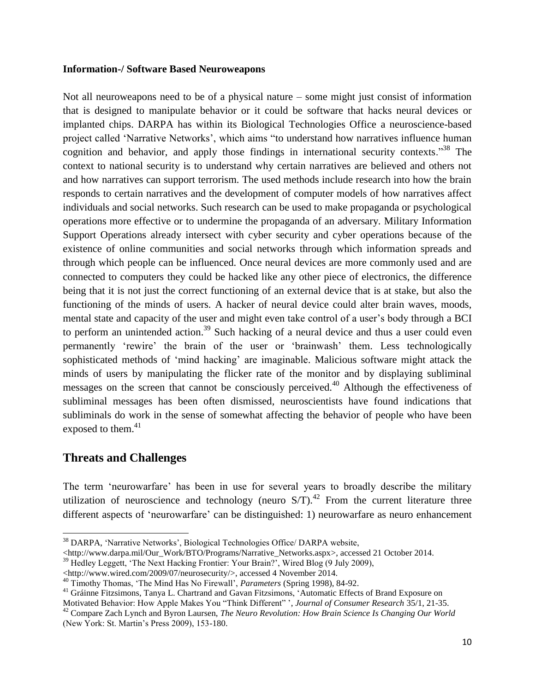#### **Information-/ Software Based Neuroweapons**

Not all neuroweapons need to be of a physical nature – some might just consist of information that is designed to manipulate behavior or it could be software that hacks neural devices or implanted chips. DARPA has within its Biological Technologies Office a neuroscience-based project called 'Narrative Networks', which aims "to understand how narratives influence human cognition and behavior, and apply those findings in international security contexts."<sup>38</sup> The context to national security is to understand why certain narratives are believed and others not and how narratives can support terrorism. The used methods include research into how the brain responds to certain narratives and the development of computer models of how narratives affect individuals and social networks. Such research can be used to make propaganda or psychological operations more effective or to undermine the propaganda of an adversary. Military Information Support Operations already intersect with cyber security and cyber operations because of the existence of online communities and social networks through which information spreads and through which people can be influenced. Once neural devices are more commonly used and are connected to computers they could be hacked like any other piece of electronics, the difference being that it is not just the correct functioning of an external device that is at stake, but also the functioning of the minds of users. A hacker of neural device could alter brain waves, moods, mental state and capacity of the user and might even take control of a user's body through a BCI to perform an unintended action.<sup>39</sup> Such hacking of a neural device and thus a user could even permanently 'rewire' the brain of the user or 'brainwash' them. Less technologically sophisticated methods of 'mind hacking' are imaginable. Malicious software might attack the minds of users by manipulating the flicker rate of the monitor and by displaying subliminal messages on the screen that cannot be consciously perceived.<sup>40</sup> Although the effectiveness of subliminal messages has been often dismissed, neuroscientists have found indications that subliminals do work in the sense of somewhat affecting the behavior of people who have been exposed to them. $41$ 

## **Threats and Challenges**

The term 'neurowarfare' has been in use for several years to broadly describe the military utilization of neuroscience and technology (neuro  $S/T$ ).<sup>42</sup> From the current literature three different aspects of 'neurowarfare' can be distinguished: 1) neurowarfare as neuro enhancement

 $\overline{\phantom{a}}$ <sup>38</sup> DARPA, 'Narrative Networks', Biological Technologies Office/ DARPA website,

<sup>&</sup>lt;http://www.darpa.mil/Our\_Work/BTO/Programs/Narrative\_Networks.aspx>, accessed 21 October 2014.

<sup>&</sup>lt;sup>39</sup> Hedley Leggett, 'The Next Hacking Frontier: Your Brain?', Wired Blog (9 July 2009),

<sup>&</sup>lt;http://www.wired.com/2009/07/neurosecurity/>, accessed 4 November 2014.

<sup>40</sup> Timothy Thomas, 'The Mind Has No Firewall', *Parameters* (Spring 1998), 84-92.

<sup>&</sup>lt;sup>41</sup> Gráinne Fitzsimons, Tanya L. Chartrand and Gavan Fitzsimons, 'Automatic Effects of Brand Exposure on

Motivated Behavior: How Apple Makes You "Think Different" ', *Journal of Consumer Research* 35/1, 21-35.

<sup>42</sup> Compare Zach Lynch and Byron Laursen, *The Neuro Revolution: How Brain Science Is Changing Our World* (New York: St. Martin's Press 2009), 153-180.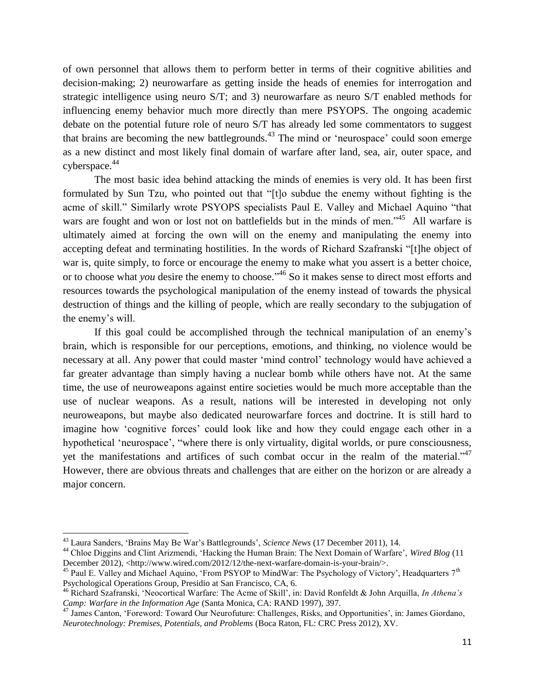of own personnel that allows them to perform better in terms of their cognitive abilities and decision-making; 2) neurowarfare as getting inside the heads of enemies for interrogation and strategic intelligence using neuro S/T; and 3) neurowarfare as neuro S/T enabled methods for influencing enemy behavior much more directly than mere PSYOPS. The ongoing academic debate on the potential future role of neuro S/T has already led some commentators to suggest that brains are becoming the new battlegrounds.<sup> $43$ </sup> The mind or 'neurospace' could soon emerge as a new distinct and most likely final domain of warfare after land, sea, air, outer space, and cyberspace.<sup>44</sup>

The most basic idea behind attacking the minds of enemies is very old. It has been first formulated by Sun Tzu, who pointed out that "[t]o subdue the enemy without fighting is the acme of skill." Similarly wrote PSYOPS specialists Paul E. Valley and Michael Aquino "that wars are fought and won or lost not on battlefields but in the minds of men."<sup>45</sup> All warfare is ultimately aimed at forcing the own will on the enemy and manipulating the enemy into accepting defeat and terminating hostilities. In the words of Richard Szafranski "[t]he object of war is, quite simply, to force or encourage the enemy to make what you assert is a better choice, or to choose what *you* desire the enemy to choose." <sup>46</sup> So it makes sense to direct most efforts and resources towards the psychological manipulation of the enemy instead of towards the physical destruction of things and the killing of people, which are really secondary to the subjugation of the enemy's will.

If this goal could be accomplished through the technical manipulation of an enemy's brain, which is responsible for our perceptions, emotions, and thinking, no violence would be necessary at all. Any power that could master 'mind control' technology would have achieved a far greater advantage than simply having a nuclear bomb while others have not. At the same time, the use of neuroweapons against entire societies would be much more acceptable than the use of nuclear weapons. As a result, nations will be interested in developing not only neuroweapons, but maybe also dedicated neurowarfare forces and doctrine. It is still hard to imagine how 'cognitive forces' could look like and how they could engage each other in a hypothetical 'neurospace', "where there is only virtuality, digital worlds, or pure consciousness, yet the manifestations and artifices of such combat occur in the realm of the material."<sup>47</sup> However, there are obvious threats and challenges that are either on the horizon or are already a major concern.

<sup>43</sup> Laura Sanders, 'Brains May Be War's Battlegrounds', *Science News* (17 December 2011), 14.

<sup>44</sup> Chloe Diggins and Clint Arizmendi, 'Hacking the Human Brain: The Next Domain of Warfare', *Wired Blog* (11 December 2012), <http://www.wired.com/2012/12/the-next-warfare-domain-is-your-brain/>.

<sup>&</sup>lt;sup>45</sup> Paul E. Valley and Michael Aquino, 'From PSYOP to MindWar: The Psychology of Victory', Headquarters  $7<sup>th</sup>$ Psychological Operations Group, Presidio at San Francisco, CA, 6.

<sup>46</sup> Richard Szafranski, 'Neocortical Warfare: The Acme of Skill', in: David Ronfeldt & John Arquilla, *In Athena's Camp: Warfare in the Information Age* (Santa Monica, CA: RAND 1997), 397.

<sup>&</sup>lt;sup>47</sup> James Canton, 'Foreword: Toward Our Neurofuture: Challenges, Risks, and Opportunities', in: James Giordano, *Neurotechnology: Premises, Potentials, and Problems* (Boca Raton, FL: CRC Press 2012), XV.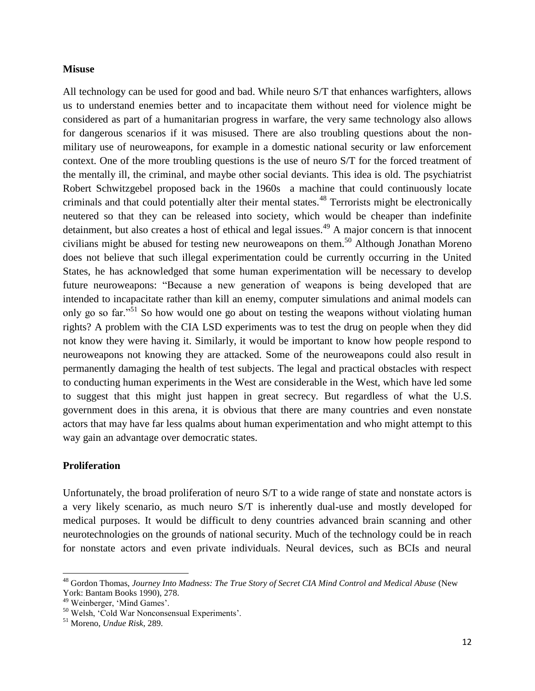#### **Misuse**

All technology can be used for good and bad. While neuro S/T that enhances warfighters, allows us to understand enemies better and to incapacitate them without need for violence might be considered as part of a humanitarian progress in warfare, the very same technology also allows for dangerous scenarios if it was misused. There are also troubling questions about the nonmilitary use of neuroweapons, for example in a domestic national security or law enforcement context. One of the more troubling questions is the use of neuro S/T for the forced treatment of the mentally ill, the criminal, and maybe other social deviants. This idea is old. The psychiatrist Robert Schwitzgebel proposed back in the 1960s a machine that could continuously locate criminals and that could potentially alter their mental states.<sup>48</sup> Terrorists might be electronically neutered so that they can be released into society, which would be cheaper than indefinite detainment, but also creates a host of ethical and legal issues.<sup>49</sup> A major concern is that innocent civilians might be abused for testing new neuroweapons on them.<sup>50</sup> Although Jonathan Moreno does not believe that such illegal experimentation could be currently occurring in the United States, he has acknowledged that some human experimentation will be necessary to develop future neuroweapons: "Because a new generation of weapons is being developed that are intended to incapacitate rather than kill an enemy, computer simulations and animal models can only go so far."<sup>51</sup> So how would one go about on testing the weapons without violating human rights? A problem with the CIA LSD experiments was to test the drug on people when they did not know they were having it. Similarly, it would be important to know how people respond to neuroweapons not knowing they are attacked. Some of the neuroweapons could also result in permanently damaging the health of test subjects. The legal and practical obstacles with respect to conducting human experiments in the West are considerable in the West, which have led some to suggest that this might just happen in great secrecy. But regardless of what the U.S. government does in this arena, it is obvious that there are many countries and even nonstate actors that may have far less qualms about human experimentation and who might attempt to this way gain an advantage over democratic states.

### **Proliferation**

 $\overline{a}$ 

Unfortunately, the broad proliferation of neuro S/T to a wide range of state and nonstate actors is a very likely scenario, as much neuro S/T is inherently dual-use and mostly developed for medical purposes. It would be difficult to deny countries advanced brain scanning and other neurotechnologies on the grounds of national security. Much of the technology could be in reach for nonstate actors and even private individuals. Neural devices, such as BCIs and neural

<sup>48</sup> Gordon Thomas, *Journey Into Madness: The True Story of Secret CIA Mind Control and Medical Abuse* (New York: Bantam Books 1990), 278.

<sup>49</sup> Weinberger, 'Mind Games'.

<sup>50</sup> Welsh, 'Cold War Nonconsensual Experiments'.

<sup>51</sup> Moreno, *Undue Risk*, 289.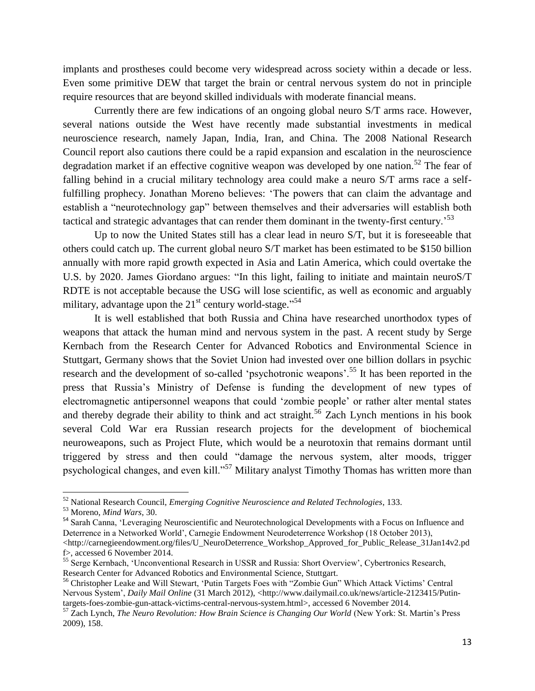implants and prostheses could become very widespread across society within a decade or less. Even some primitive DEW that target the brain or central nervous system do not in principle require resources that are beyond skilled individuals with moderate financial means.

Currently there are few indications of an ongoing global neuro S/T arms race. However, several nations outside the West have recently made substantial investments in medical neuroscience research, namely Japan, India, Iran, and China. The 2008 National Research Council report also cautions there could be a rapid expansion and escalation in the neuroscience degradation market if an effective cognitive weapon was developed by one nation.<sup>52</sup> The fear of falling behind in a crucial military technology area could make a neuro S/T arms race a selffulfilling prophecy. Jonathan Moreno believes: 'The powers that can claim the advantage and establish a "neurotechnology gap" between themselves and their adversaries will establish both tactical and strategic advantages that can render them dominant in the twenty-first century.'<sup>53</sup>

Up to now the United States still has a clear lead in neuro S/T, but it is foreseeable that others could catch up. The current global neuro S/T market has been estimated to be \$150 billion annually with more rapid growth expected in Asia and Latin America, which could overtake the U.S. by 2020. James Giordano argues: "In this light, failing to initiate and maintain neuroS/T RDTE is not acceptable because the USG will lose scientific, as well as economic and arguably military, advantage upon the  $21<sup>st</sup>$  century world-stage."<sup>54</sup>

It is well established that both Russia and China have researched unorthodox types of weapons that attack the human mind and nervous system in the past. A recent study by Serge Kernbach from the Research Center for Advanced Robotics and Environmental Science in Stuttgart, Germany shows that the Soviet Union had invested over one billion dollars in psychic research and the development of so-called 'psychotronic weapons'.<sup>55</sup> It has been reported in the press that Russia's Ministry of Defense is funding the development of new types of electromagnetic antipersonnel weapons that could 'zombie people' or rather alter mental states and thereby degrade their ability to think and act straight.<sup>56</sup> Zach Lynch mentions in his book several Cold War era Russian research projects for the development of biochemical neuroweapons, such as Project Flute, which would be a neurotoxin that remains dormant until triggered by stress and then could "damage the nervous system, alter moods, trigger psychological changes, and even kill."<sup>57</sup> Military analyst Timothy Thomas has written more than

<sup>52</sup> National Research Council, *Emerging Cognitive Neuroscience and Related Technologies*, 133.

<sup>53</sup> Moreno, *Mind Wars*, 30.

<sup>&</sup>lt;sup>54</sup> Sarah Canna, 'Leveraging Neuroscientific and Neurotechnological Developments with a Focus on Influence and Deterrence in a Networked World', Carnegie Endowment Neurodeterrence Workshop (18 October 2013), <http://carnegieendowment.org/files/U\_NeuroDeterrence\_Workshop\_Approved\_for\_Public\_Release\_31Jan14v2.pd f>, accessed 6 November 2014.

<sup>&</sup>lt;sup>55</sup> Serge Kernbach, 'Unconventional Research in USSR and Russia: Short Overview', Cybertronics Research, Research Center for Advanced Robotics and Environmental Science, Stuttgart.

<sup>56</sup> Christopher Leake and Will Stewart, 'Putin Targets Foes with "Zombie Gun" Which Attack Victims' Central Nervous System', *Daily Mail Online* (31 March 2012), <http://www.dailymail.co.uk/news/article-2123415/Putintargets-foes-zombie-gun-attack-victims-central-nervous-system.html>, accessed 6 November 2014.

<sup>57</sup> Zach Lynch, *The Neuro Revolution: How Brain Science is Changing Our World* (New York: St. Martin's Press 2009), 158.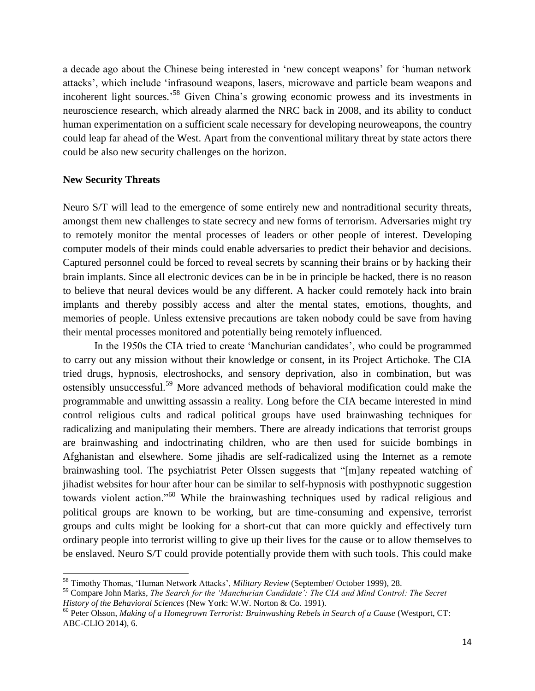a decade ago about the Chinese being interested in 'new concept weapons' for 'human network attacks', which include 'infrasound weapons, lasers, microwave and particle beam weapons and incoherent light sources.<sup>58</sup> Given China's growing economic prowess and its investments in neuroscience research, which already alarmed the NRC back in 2008, and its ability to conduct human experimentation on a sufficient scale necessary for developing neuroweapons, the country could leap far ahead of the West. Apart from the conventional military threat by state actors there could be also new security challenges on the horizon.

#### **New Security Threats**

 $\overline{a}$ 

Neuro S/T will lead to the emergence of some entirely new and nontraditional security threats, amongst them new challenges to state secrecy and new forms of terrorism. Adversaries might try to remotely monitor the mental processes of leaders or other people of interest. Developing computer models of their minds could enable adversaries to predict their behavior and decisions. Captured personnel could be forced to reveal secrets by scanning their brains or by hacking their brain implants. Since all electronic devices can be in be in principle be hacked, there is no reason to believe that neural devices would be any different. A hacker could remotely hack into brain implants and thereby possibly access and alter the mental states, emotions, thoughts, and memories of people. Unless extensive precautions are taken nobody could be save from having their mental processes monitored and potentially being remotely influenced.

In the 1950s the CIA tried to create 'Manchurian candidates', who could be programmed to carry out any mission without their knowledge or consent, in its Project Artichoke. The CIA tried drugs, hypnosis, electroshocks, and sensory deprivation, also in combination, but was ostensibly unsuccessful.<sup>59</sup> More advanced methods of behavioral modification could make the programmable and unwitting assassin a reality. Long before the CIA became interested in mind control religious cults and radical political groups have used brainwashing techniques for radicalizing and manipulating their members. There are already indications that terrorist groups are brainwashing and indoctrinating children, who are then used for suicide bombings in Afghanistan and elsewhere. Some jihadis are self-radicalized using the Internet as a remote brainwashing tool. The psychiatrist Peter Olssen suggests that "[m]any repeated watching of jihadist websites for hour after hour can be similar to self-hypnosis with posthypnotic suggestion towards violent action."<sup>60</sup> While the brainwashing techniques used by radical religious and political groups are known to be working, but are time-consuming and expensive, terrorist groups and cults might be looking for a short-cut that can more quickly and effectively turn ordinary people into terrorist willing to give up their lives for the cause or to allow themselves to be enslaved. Neuro S/T could provide potentially provide them with such tools. This could make

<sup>58</sup> Timothy Thomas, 'Human Network Attacks', *Military Review* (September/ October 1999), 28.

<sup>59</sup> Compare John Marks, *The Search for the 'Manchurian Candidate': The CIA and Mind Control: The Secret History of the Behavioral Sciences* (New York: W.W. Norton & Co. 1991).

<sup>60</sup> Peter Olsson, *Making of a Homegrown Terrorist: Brainwashing Rebels in Search of a Cause* (Westport, CT: ABC-CLIO 2014), 6.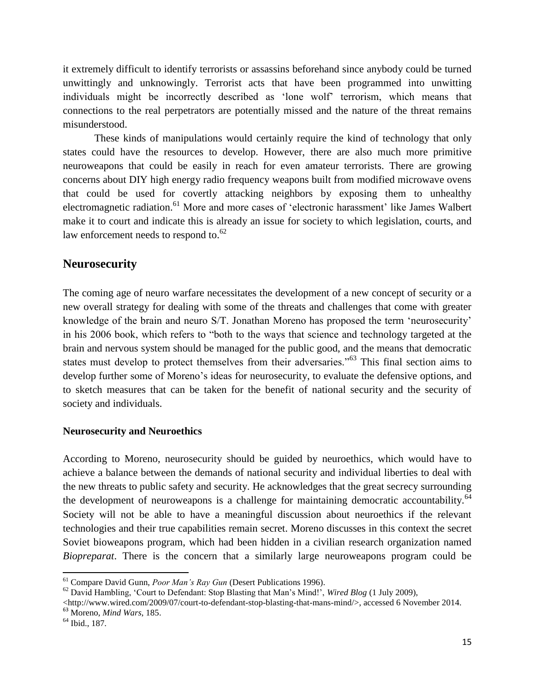it extremely difficult to identify terrorists or assassins beforehand since anybody could be turned unwittingly and unknowingly. Terrorist acts that have been programmed into unwitting individuals might be incorrectly described as 'lone wolf' terrorism, which means that connections to the real perpetrators are potentially missed and the nature of the threat remains misunderstood.

These kinds of manipulations would certainly require the kind of technology that only states could have the resources to develop. However, there are also much more primitive neuroweapons that could be easily in reach for even amateur terrorists. There are growing concerns about DIY high energy radio frequency weapons built from modified microwave ovens that could be used for covertly attacking neighbors by exposing them to unhealthy electromagnetic radiation.<sup>61</sup> More and more cases of 'electronic harassment' like James Walbert make it to court and indicate this is already an issue for society to which legislation, courts, and law enforcement needs to respond to.<sup>62</sup>

# **Neurosecurity**

The coming age of neuro warfare necessitates the development of a new concept of security or a new overall strategy for dealing with some of the threats and challenges that come with greater knowledge of the brain and neuro S/T. Jonathan Moreno has proposed the term 'neurosecurity' in his 2006 book, which refers to "both to the ways that science and technology targeted at the brain and nervous system should be managed for the public good, and the means that democratic states must develop to protect themselves from their adversaries."<sup>63</sup> This final section aims to develop further some of Moreno's ideas for neurosecurity, to evaluate the defensive options, and to sketch measures that can be taken for the benefit of national security and the security of society and individuals.

## **Neurosecurity and Neuroethics**

According to Moreno, neurosecurity should be guided by neuroethics, which would have to achieve a balance between the demands of national security and individual liberties to deal with the new threats to public safety and security. He acknowledges that the great secrecy surrounding the development of neuroweapons is a challenge for maintaining democratic accountability.<sup>64</sup> Society will not be able to have a meaningful discussion about neuroethics if the relevant technologies and their true capabilities remain secret. Moreno discusses in this context the secret Soviet bioweapons program, which had been hidden in a civilian research organization named *Biopreparat*. There is the concern that a similarly large neuroweapons program could be

<sup>61</sup> Compare David Gunn, *Poor Man's Ray Gun* (Desert Publications 1996).

<sup>62</sup> David Hambling, 'Court to Defendant: Stop Blasting that Man's Mind!', *Wired Blog* (1 July 2009),

 $\lt$ http://www.wired.com/2009/07/court-to-defendant-stop-blasting-that-mans-mind/>, accessed 6 November 2014.

<sup>63</sup> Moreno, *Mind Wars*, 185.

<sup>64</sup> Ibid., 187.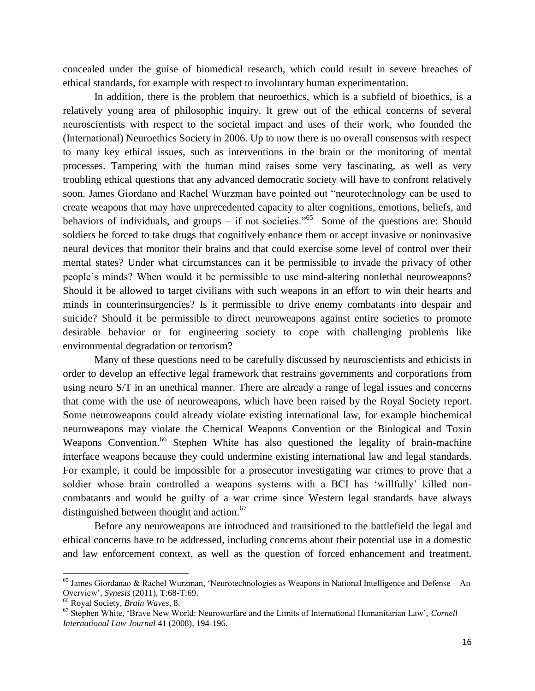concealed under the guise of biomedical research, which could result in severe breaches of ethical standards, for example with respect to involuntary human experimentation.

In addition, there is the problem that neuroethics, which is a subfield of bioethics, is a relatively young area of philosophic inquiry. It grew out of the ethical concerns of several neuroscientists with respect to the societal impact and uses of their work, who founded the (International) Neuroethics Society in 2006. Up to now there is no overall consensus with respect to many key ethical issues, such as interventions in the brain or the monitoring of mental processes. Tampering with the human mind raises some very fascinating, as well as very troubling ethical questions that any advanced democratic society will have to confront relatively soon. James Giordano and Rachel Wurzman have pointed out "neurotechnology can be used to create weapons that may have unprecedented capacity to alter cognitions, emotions, beliefs, and behaviors of individuals, and groups – if not societies.<sup> $55$ </sup> Some of the questions are: Should soldiers be forced to take drugs that cognitively enhance them or accept invasive or noninvasive neural devices that monitor their brains and that could exercise some level of control over their mental states? Under what circumstances can it be permissible to invade the privacy of other people's minds? When would it be permissible to use mind-altering nonlethal neuroweapons? Should it be allowed to target civilians with such weapons in an effort to win their hearts and minds in counterinsurgencies? Is it permissible to drive enemy combatants into despair and suicide? Should it be permissible to direct neuroweapons against entire societies to promote desirable behavior or for engineering society to cope with challenging problems like environmental degradation or terrorism?

Many of these questions need to be carefully discussed by neuroscientists and ethicists in order to develop an effective legal framework that restrains governments and corporations from using neuro S/T in an unethical manner. There are already a range of legal issues and concerns that come with the use of neuroweapons, which have been raised by the Royal Society report. Some neuroweapons could already violate existing international law, for example biochemical neuroweapons may violate the Chemical Weapons Convention or the Biological and Toxin Weapons Convention.<sup>66</sup> Stephen White has also questioned the legality of brain-machine interface weapons because they could undermine existing international law and legal standards. For example, it could be impossible for a prosecutor investigating war crimes to prove that a soldier whose brain controlled a weapons systems with a BCI has 'willfully' killed noncombatants and would be guilty of a war crime since Western legal standards have always distinguished between thought and action. $67$ 

Before any neuroweapons are introduced and transitioned to the battlefield the legal and ethical concerns have to be addressed, including concerns about their potential use in a domestic and law enforcement context, as well as the question of forced enhancement and treatment.

<sup>&</sup>lt;sup>65</sup> James Giordanao & Rachel Wurzman, 'Neurotechnologies as Weapons in National Intelligence and Defense – An Overview', *Synesis* (2011), T:68-T:69.

<sup>66</sup> Royal Society, *Brain Waves*, 8.

<sup>67</sup> Stephen White, 'Brave New World: Neurowarfare and the Limits of International Humanitarian Law', *Cornell International Law Journal* 41 (2008), 194-196.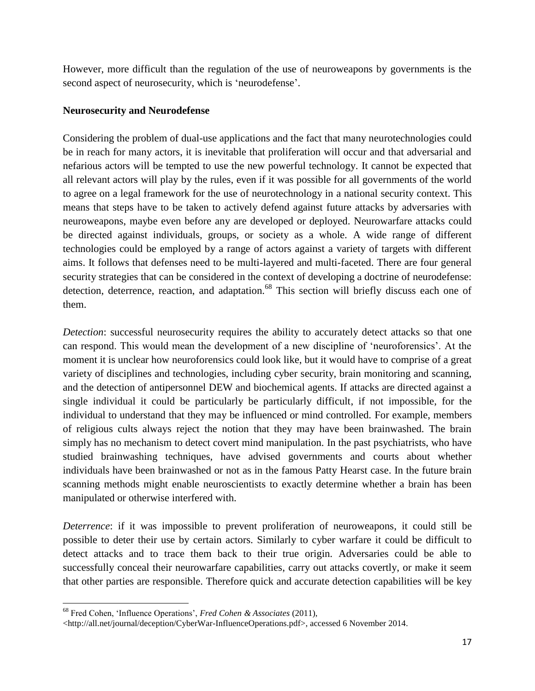However, more difficult than the regulation of the use of neuroweapons by governments is the second aspect of neurosecurity, which is 'neurodefense'.

### **Neurosecurity and Neurodefense**

Considering the problem of dual-use applications and the fact that many neurotechnologies could be in reach for many actors, it is inevitable that proliferation will occur and that adversarial and nefarious actors will be tempted to use the new powerful technology. It cannot be expected that all relevant actors will play by the rules, even if it was possible for all governments of the world to agree on a legal framework for the use of neurotechnology in a national security context. This means that steps have to be taken to actively defend against future attacks by adversaries with neuroweapons, maybe even before any are developed or deployed. Neurowarfare attacks could be directed against individuals, groups, or society as a whole. A wide range of different technologies could be employed by a range of actors against a variety of targets with different aims. It follows that defenses need to be multi-layered and multi-faceted. There are four general security strategies that can be considered in the context of developing a doctrine of neurodefense: detection, deterrence, reaction, and adaptation.<sup>68</sup> This section will briefly discuss each one of them.

*Detection*: successful neurosecurity requires the ability to accurately detect attacks so that one can respond. This would mean the development of a new discipline of 'neuroforensics'. At the moment it is unclear how neuroforensics could look like, but it would have to comprise of a great variety of disciplines and technologies, including cyber security, brain monitoring and scanning, and the detection of antipersonnel DEW and biochemical agents. If attacks are directed against a single individual it could be particularly be particularly difficult, if not impossible, for the individual to understand that they may be influenced or mind controlled. For example, members of religious cults always reject the notion that they may have been brainwashed. The brain simply has no mechanism to detect covert mind manipulation. In the past psychiatrists, who have studied brainwashing techniques, have advised governments and courts about whether individuals have been brainwashed or not as in the famous Patty Hearst case. In the future brain scanning methods might enable neuroscientists to exactly determine whether a brain has been manipulated or otherwise interfered with.

*Deterrence*: if it was impossible to prevent proliferation of neuroweapons, it could still be possible to deter their use by certain actors. Similarly to cyber warfare it could be difficult to detect attacks and to trace them back to their true origin. Adversaries could be able to successfully conceal their neurowarfare capabilities, carry out attacks covertly, or make it seem that other parties are responsible. Therefore quick and accurate detection capabilities will be key

 $\overline{\phantom{a}}$ <sup>68</sup> Fred Cohen, 'Influence Operations', *Fred Cohen & Associates* (2011),

<sup>&</sup>lt;http://all.net/journal/deception/CyberWar-InfluenceOperations.pdf>, accessed 6 November 2014.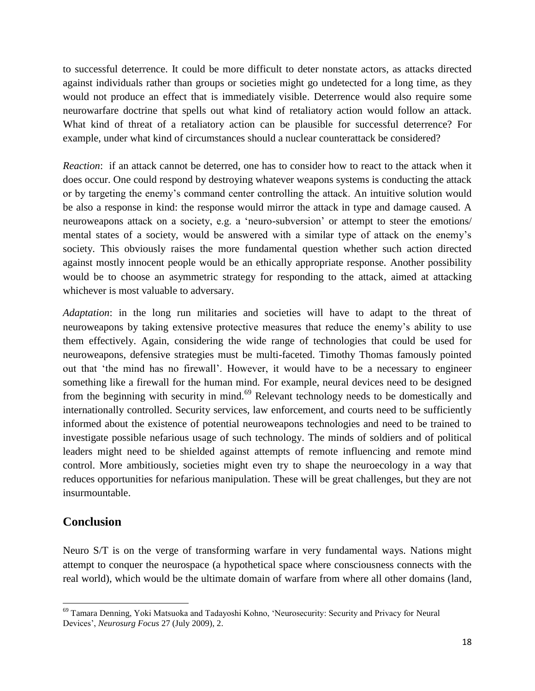to successful deterrence. It could be more difficult to deter nonstate actors, as attacks directed against individuals rather than groups or societies might go undetected for a long time, as they would not produce an effect that is immediately visible. Deterrence would also require some neurowarfare doctrine that spells out what kind of retaliatory action would follow an attack. What kind of threat of a retaliatory action can be plausible for successful deterrence? For example, under what kind of circumstances should a nuclear counterattack be considered?

*Reaction*: if an attack cannot be deterred, one has to consider how to react to the attack when it does occur. One could respond by destroying whatever weapons systems is conducting the attack or by targeting the enemy's command center controlling the attack. An intuitive solution would be also a response in kind: the response would mirror the attack in type and damage caused. A neuroweapons attack on a society, e.g. a 'neuro-subversion' or attempt to steer the emotions/ mental states of a society, would be answered with a similar type of attack on the enemy's society. This obviously raises the more fundamental question whether such action directed against mostly innocent people would be an ethically appropriate response. Another possibility would be to choose an asymmetric strategy for responding to the attack, aimed at attacking whichever is most valuable to adversary.

*Adaptation*: in the long run militaries and societies will have to adapt to the threat of neuroweapons by taking extensive protective measures that reduce the enemy's ability to use them effectively. Again, considering the wide range of technologies that could be used for neuroweapons, defensive strategies must be multi-faceted. Timothy Thomas famously pointed out that 'the mind has no firewall'. However, it would have to be a necessary to engineer something like a firewall for the human mind. For example, neural devices need to be designed from the beginning with security in mind.<sup>69</sup> Relevant technology needs to be domestically and internationally controlled. Security services, law enforcement, and courts need to be sufficiently informed about the existence of potential neuroweapons technologies and need to be trained to investigate possible nefarious usage of such technology. The minds of soldiers and of political leaders might need to be shielded against attempts of remote influencing and remote mind control. More ambitiously, societies might even try to shape the neuroecology in a way that reduces opportunities for nefarious manipulation. These will be great challenges, but they are not insurmountable.

# **Conclusion**

Neuro S/T is on the verge of transforming warfare in very fundamental ways. Nations might attempt to conquer the neurospace (a hypothetical space where consciousness connects with the real world), which would be the ultimate domain of warfare from where all other domains (land,

 $\overline{\phantom{a}}$ <sup>69</sup> Tamara Denning, Yoki Matsuoka and Tadayoshi Kohno, 'Neurosecurity: Security and Privacy for Neural Devices', *Neurosurg Focus* 27 (July 2009), 2.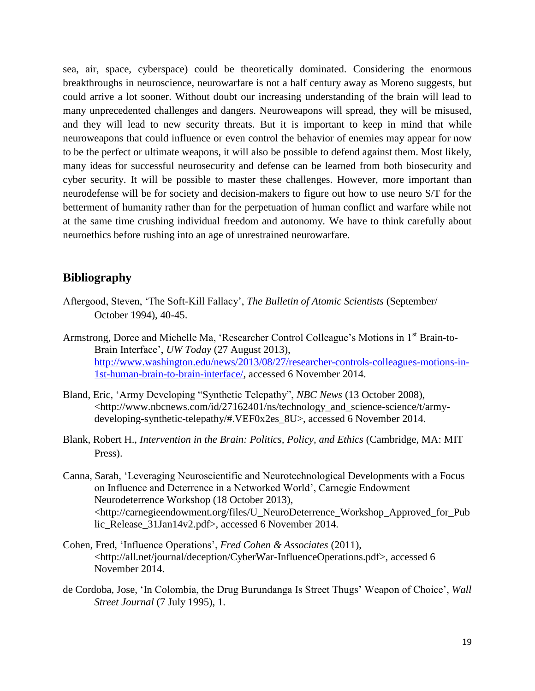sea, air, space, cyberspace) could be theoretically dominated. Considering the enormous breakthroughs in neuroscience, neurowarfare is not a half century away as Moreno suggests, but could arrive a lot sooner. Without doubt our increasing understanding of the brain will lead to many unprecedented challenges and dangers. Neuroweapons will spread, they will be misused, and they will lead to new security threats. But it is important to keep in mind that while neuroweapons that could influence or even control the behavior of enemies may appear for now to be the perfect or ultimate weapons, it will also be possible to defend against them. Most likely, many ideas for successful neurosecurity and defense can be learned from both biosecurity and cyber security. It will be possible to master these challenges. However, more important than neurodefense will be for society and decision-makers to figure out how to use neuro S/T for the betterment of humanity rather than for the perpetuation of human conflict and warfare while not at the same time crushing individual freedom and autonomy. We have to think carefully about neuroethics before rushing into an age of unrestrained neurowarfare.

## **Bibliography**

- Aftergood, Steven, 'The Soft-Kill Fallacy', *The Bulletin of Atomic Scientists* (September/ October 1994), 40-45.
- Armstrong, Doree and Michelle Ma, 'Researcher Control Colleague's Motions in 1<sup>st</sup> Brain-to-Brain Interface', *UW Today* (27 August 2013), [http://www.washington.edu/news/2013/08/27/researcher-controls-colleagues-motions-in-](http://www.washington.edu/news/2013/08/27/researcher-controls-colleagues-motions-in-1st-human-brain-to-brain-interface/)[1st-human-brain-to-brain-interface/,](http://www.washington.edu/news/2013/08/27/researcher-controls-colleagues-motions-in-1st-human-brain-to-brain-interface/) accessed 6 November 2014.
- Bland, Eric, 'Army Developing "Synthetic Telepathy", *NBC News* (13 October 2008), <http://www.nbcnews.com/id/27162401/ns/technology\_and\_science-science/t/armydeveloping-synthetic-telepathy/#.VEF0x2es\_8U>, accessed 6 November 2014.
- Blank, Robert H., *Intervention in the Brain: Politics, Policy, and Ethics* (Cambridge, MA: MIT Press).
- Canna, Sarah, 'Leveraging Neuroscientific and Neurotechnological Developments with a Focus on Influence and Deterrence in a Networked World', Carnegie Endowment Neurodeterrence Workshop (18 October 2013), <http://carnegieendowment.org/files/U\_NeuroDeterrence\_Workshop\_Approved\_for\_Pub lic\_Release\_31Jan14v2.pdf>, accessed 6 November 2014.
- Cohen, Fred, 'Influence Operations', *Fred Cohen & Associates* (2011), <http://all.net/journal/deception/CyberWar-InfluenceOperations.pdf>, accessed 6 November 2014.
- de Cordoba, Jose, 'In Colombia, the Drug Burundanga Is Street Thugs' Weapon of Choice', *Wall Street Journal* (7 July 1995), 1.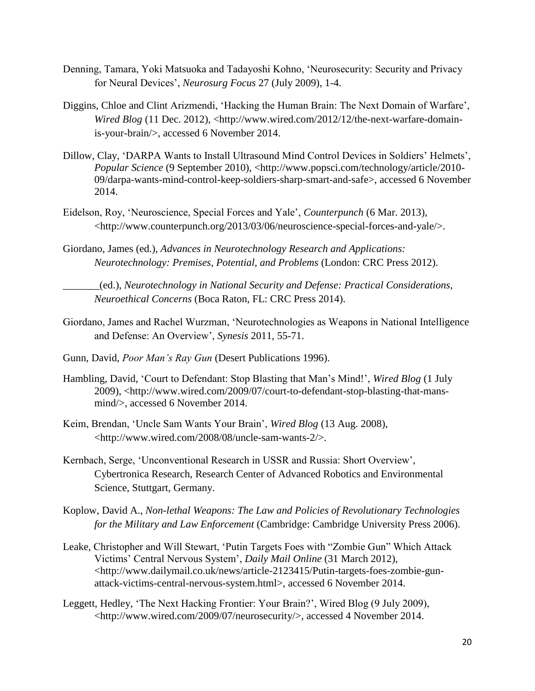- Denning, Tamara, Yoki Matsuoka and Tadayoshi Kohno, 'Neurosecurity: Security and Privacy for Neural Devices', *Neurosurg Focus* 27 (July 2009), 1-4.
- Diggins, Chloe and Clint Arizmendi, 'Hacking the Human Brain: The Next Domain of Warfare', *Wired Blog* (11 Dec. 2012), <http://www.wired.com/2012/12/the-next-warfare-domainis-your-brain/>, accessed 6 November 2014.
- Dillow, Clay, 'DARPA Wants to Install Ultrasound Mind Control Devices in Soldiers' Helmets', *Popular Science* (9 September 2010), <http://www.popsci.com/technology/article/2010- 09/darpa-wants-mind-control-keep-soldiers-sharp-smart-and-safe>, accessed 6 November 2014.
- Eidelson, Roy, 'Neuroscience, Special Forces and Yale', *Counterpunch* (6 Mar. 2013), <http://www.counterpunch.org/2013/03/06/neuroscience-special-forces-and-yale/>.
- Giordano, James (ed.), *Advances in Neurotechnology Research and Applications: Neurotechnology: Premises, Potential, and Problems* (London: CRC Press 2012).
	- \_\_\_\_\_\_\_(ed.), *Neurotechnology in National Security and Defense: Practical Considerations, Neuroethical Concerns* (Boca Raton, FL: CRC Press 2014).
- Giordano, James and Rachel Wurzman, 'Neurotechnologies as Weapons in National Intelligence and Defense: An Overview', *Synesis* 2011, 55-71.
- Gunn, David, *Poor Man's Ray Gun* (Desert Publications 1996).
- Hambling, David, 'Court to Defendant: Stop Blasting that Man's Mind!', *Wired Blog* (1 July 2009), <http://www.wired.com/2009/07/court-to-defendant-stop-blasting-that-mansmind/>, accessed 6 November 2014.
- Keim, Brendan, 'Uncle Sam Wants Your Brain', *Wired Blog* (13 Aug. 2008), <http://www.wired.com/2008/08/uncle-sam-wants-2/>.
- Kernbach, Serge, 'Unconventional Research in USSR and Russia: Short Overview', Cybertronica Research, Research Center of Advanced Robotics and Environmental Science, Stuttgart, Germany.
- Koplow, David A., *Non-lethal Weapons: The Law and Policies of Revolutionary Technologies for the Military and Law Enforcement* (Cambridge: Cambridge University Press 2006).
- Leake, Christopher and Will Stewart, 'Putin Targets Foes with "Zombie Gun" Which Attack Victims' Central Nervous System', *Daily Mail Online* (31 March 2012), <http://www.dailymail.co.uk/news/article-2123415/Putin-targets-foes-zombie-gunattack-victims-central-nervous-system.html>, accessed 6 November 2014.
- Leggett, Hedley, 'The Next Hacking Frontier: Your Brain?', Wired Blog (9 July 2009), <http://www.wired.com/2009/07/neurosecurity/>, accessed 4 November 2014.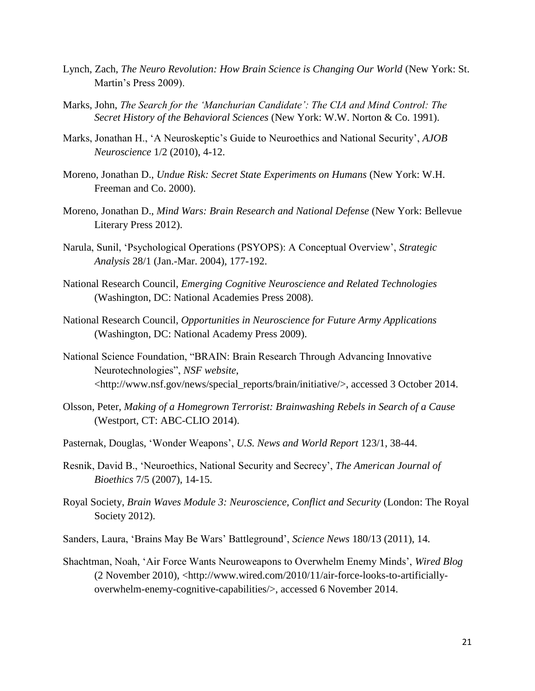- Lynch, Zach, *The Neuro Revolution: How Brain Science is Changing Our World* (New York: St. Martin's Press 2009).
- Marks, John, *The Search for the 'Manchurian Candidate': The CIA and Mind Control: The Secret History of the Behavioral Sciences* (New York: W.W. Norton & Co. 1991).
- Marks, Jonathan H., 'A Neuroskeptic's Guide to Neuroethics and National Security', *AJOB Neuroscience* 1/2 (2010), 4-12.
- Moreno, Jonathan D., *Undue Risk: Secret State Experiments on Humans* (New York: W.H. Freeman and Co. 2000).
- Moreno, Jonathan D., *Mind Wars: Brain Research and National Defense* (New York: Bellevue Literary Press 2012).
- Narula, Sunil, 'Psychological Operations (PSYOPS): A Conceptual Overview', *Strategic Analysis* 28/1 (Jan.-Mar. 2004), 177-192.
- National Research Council, *Emerging Cognitive Neuroscience and Related Technologies* (Washington, DC: National Academies Press 2008).
- National Research Council, *Opportunities in Neuroscience for Future Army Applications* (Washington, DC: National Academy Press 2009).
- National Science Foundation, "BRAIN: Brain Research Through Advancing Innovative Neurotechnologies", *NSF website*, <http://www.nsf.gov/news/special\_reports/brain/initiative/>, accessed 3 October 2014.
- Olsson, Peter, *Making of a Homegrown Terrorist: Brainwashing Rebels in Search of a Cause* (Westport, CT: ABC-CLIO 2014).
- Pasternak, Douglas, 'Wonder Weapons', *U.S. News and World Report* 123/1, 38-44.
- Resnik, David B., 'Neuroethics, National Security and Secrecy', *The American Journal of Bioethics* 7/5 (2007), 14-15.
- Royal Society, *Brain Waves Module 3: Neuroscience, Conflict and Security* (London: The Royal Society 2012).
- Sanders, Laura, 'Brains May Be Wars' Battleground', *Science News* 180/13 (2011), 14.
- Shachtman, Noah, 'Air Force Wants Neuroweapons to Overwhelm Enemy Minds', *Wired Blog* (2 November 2010), <http://www.wired.com/2010/11/air-force-looks-to-artificiallyoverwhelm-enemy-cognitive-capabilities/>, accessed 6 November 2014.